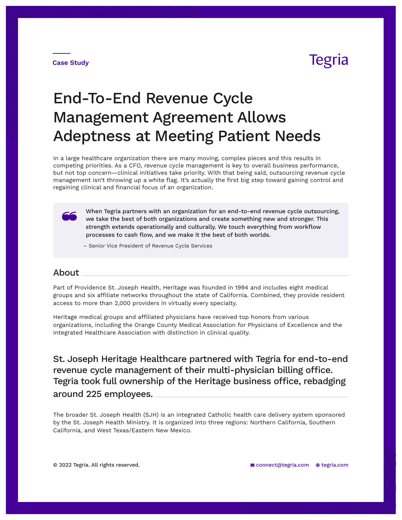# **Tegria**

**Case Study**

# End-To-End Revenue Cycle Management Agreement Allows Adeptness at Meeting Patient Needs

In a large healthcare organization there are many moving, complex pieces and this results in competing priorities. As a CFO, revenue cycle management is key to overall business performance, but not top concern—clinical initiatives take priority. With that being said, outsourcing revenue cycle management isn't throwing up a white flag. It's actually the first big step toward gaining control and regaining clinical and financial focus of an organization.

When Tegria partners with an organization for an end-to-end revenue cycle outsourcing, we take the best of both organizations and create something new and stronger. This strength extends operationally and culturally. We touch everything from workflow processes to cash flow, and we make it the best of both worlds.

– Senior Vice President of Revenue Cycle Services

### About

Part of Providence St. Joseph Health, Heritage was founded in 1994 and includes eight medical groups and six affiliate networks throughout the state of California. Combined, they provide resident access to more than 2,000 providers in virtually every specialty.

Heritage medical groups and affiliated physicians have received top honors from various organizations, including the Orange County Medical Association for Physicians of Excellence and the Integrated Healthcare Association with distinction in clinical quality.

around 225 employees. St. Joseph Heritage Healthcare partnered with Tegria for end-to-end revenue cycle management of their multi-physician billing office. Tegria took full ownership of the Heritage business office, rebadging

The broader St. Joseph Health (SJH) is an integrated Catholic health care delivery system sponsored by the St. Joseph Health Ministry. It is organized into three regions: Northern California, Southern California, and West Texas/Eastern New Mexico.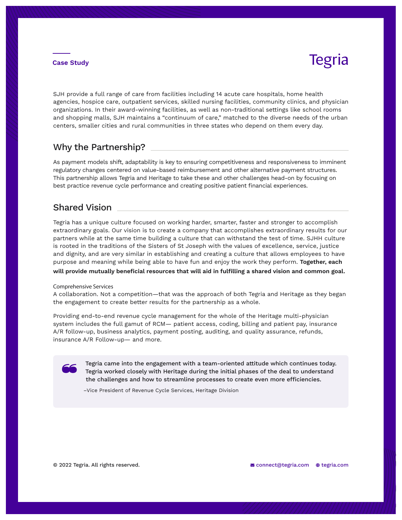## Tegria

SJH provide a full range of care from facilities including 14 acute care hospitals, home health agencies, hospice care, outpatient services, skilled nursing facilities, community clinics, and physician organizations. In their award-winning facilities, as well as non-traditional settings like school rooms and shopping malls, SJH maintains a "continuum of care," matched to the diverse needs of the urban centers, smaller cities and rural communities in three states who depend on them every day.

### Why the Partnership?

As payment models shift, adaptability is key to ensuring competitiveness and responsiveness to imminent regulatory changes centered on value-based reimbursement and other alternative payment structures. This partnership allows Tegria and Heritage to take these and other challenges head-on by focusing on best practice revenue cycle performance and creating positive patient financial experiences.

### Shared Vision

Tegria has a unique culture focused on working harder, smarter, faster and stronger to accomplish extraordinary goals. Our vision is to create a company that accomplishes extraordinary results for our partners while at the same time building a culture that can withstand the test of time. SJHH culture is rooted in the traditions of the Sisters of St Joseph with the values of excellence, service, justice and dignity, and are very similar in establishing and creating a culture that allows employees to have purpose and meaning while being able to have fun and enjoy the work they perform. **Together, each will provide mutually beneficial resources that will aid in fulfilling a shared vision and common goal.**

#### Comprehensive Services

A collaboration. Not a competition—that was the approach of both Tegria and Heritage as they began the engagement to create better results for the partnership as a whole.

Providing end-to-end revenue cycle management for the whole of the Heritage multi-physician system includes the full gamut of RCM— patient access, coding, billing and patient pay, insurance A/R follow-up, business analytics, payment posting, auditing, and quality assurance, refunds, insurance A/R Follow-up— and more.

Tegria came into the engagement with a team-oriented attitude which continues today. Tegria worked closely with Heritage during the initial phases of the deal to understand the challenges and how to streamline processes to create even more efficiencies.

–Vice President of Revenue Cycle Services, Heritage Division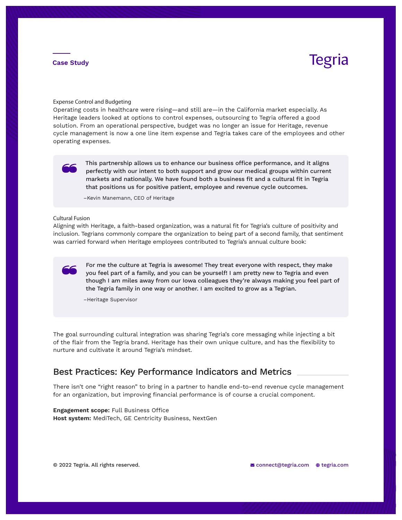# Tegria

Expense Control and Budgeting

Operating costs in healthcare were rising—and still are—in the California market especially. As Heritage leaders looked at options to control expenses, outsourcing to Tegria offered a good solution. From an operational perspective, budget was no longer an issue for Heritage, revenue cycle management is now a one line item expense and Tegria takes care of the employees and other operating expenses.



This partnership allows us to enhance our business office performance, and it aligns perfectly with our intent to both support and grow our medical groups within current markets and nationally. We have found both a business fit and a cultural fit in Tegria that positions us for positive patient, employee and revenue cycle outcomes.

–Kevin Manemann, CEO of Heritage

#### Cultural Fusion

Aligning with Heritage, a faith-based organization, was a natural fit for Tegria's culture of positivity and inclusion. Tegrians commonly compare the organization to being part of a second family, that sentiment was carried forward when Heritage employees contributed to Tegria's annual culture book:

For me the culture at Tegria is awesome! They treat everyone with respect, they make you feel part of a family, and you can be yourself! I am pretty new to Tegria and even though I am miles away from our Iowa colleagues they're always making you feel part of the Tegria family in one way or another. I am excited to grow as a Tegrian.

–Heritage Supervisor

The goal surrounding cultural integration was sharing Tegria's core messaging while injecting a bit of the flair from the Tegria brand. Heritage has their own unique culture, and has the flexibility to nurture and cultivate it around Tegria's mindset.

### Best Practices: Key Performance Indicators and Metrics

There isn't one "right reason" to bring in a partner to handle end-to-end revenue cycle management for an organization, but improving financial performance is of course a crucial component.

**Engagement scope:** Full Business Office **Host system:** MediTech, GE Centricity Business, NextGen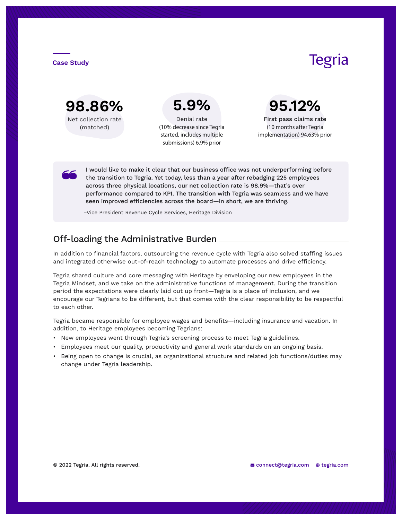

**5.9%** Denial rate

(10% decrease since Tegria started, includes multiple submissions) 6.9% prior

Tegria

**95.12%** First pass claims rate

(10 months after Tegria implementation) 94.63% prior

I would like to make it clear that our business office was not underperforming before the transition to Tegria. Yet today, less than a year after rebadging 225 employees across three physical locations, our net collection rate is 98.9%—that's over performance compared to KPI. The transition with Tegria was seamless and we have seen improved efficiencies across the board—in short, we are thriving.

–Vice President Revenue Cycle Services, Heritage Division

## Off-loading the Administrative Burden

In addition to financial factors, outsourcing the revenue cycle with Tegria also solved staffing issues and integrated otherwise out-of-reach technology to automate processes and drive efficiency.

Tegria shared culture and core messaging with Heritage by enveloping our new employees in the Tegria Mindset, and we take on the administrative functions of management. During the transition period the expectations were clearly laid out up front—Tegria is a place of inclusion, and we encourage our Tegrians to be different, but that comes with the clear responsibility to be respectful to each other.

Tegria became responsible for employee wages and benefits—including insurance and vacation. In addition, to Heritage employees becoming Tegrians:

- New employees went through Tegria's screening process to meet Tegria guidelines.
- Employees meet our quality, productivity and general work standards on an ongoing basis.
- Being open to change is crucial, as organizational structure and related job functions/duties may change under Tegria leadership.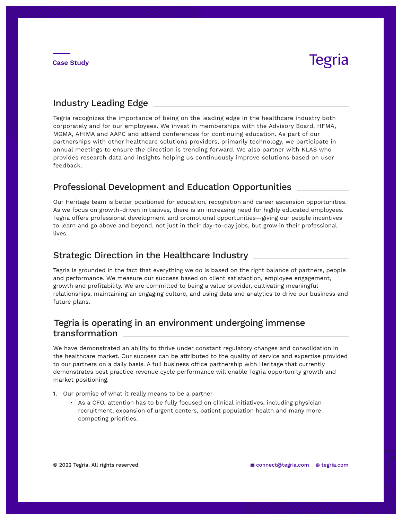# **Tegria**

### Industry Leading Edge

Tegria recognizes the importance of being on the leading edge in the healthcare industry both corporately and for our employees. We invest in memberships with the Advisory Board, HFMA, MGMA, AHIMA and AAPC and attend conferences for continuing education. As part of our partnerships with other healthcare solutions providers, primarily technology, we participate in annual meetings to ensure the direction is trending forward. We also partner with KLAS who provides research data and insights helping us continuously improve solutions based on user feedback.

## Professional Development and Education Opportunities

Our Heritage team is better positioned for education, recognition and career ascension opportunities. As we focus on growth-driven initiatives, there is an increasing need for highly educated employees. Tegria offers professional development and promotional opportunities—giving our people incentives to learn and go above and beyond, not just in their day-to-day jobs, but grow in their professional lives.

### Strategic Direction in the Healthcare Industry

Tegria is grounded in the fact that everything we do is based on the right balance of partners, people and performance. We measure our success based on client satisfaction, employee engagement, growth and profitability. We are committed to being a value provider, cultivating meaningful relationships, maintaining an engaging culture, and using data and analytics to drive our business and future plans.

## Tegria is operating in an environment undergoing immense. transformation

We have demonstrated an ability to thrive under constant regulatory changes and consolidation in the healthcare market. Our success can be attributed to the quality of service and expertise provided to our partners on a daily basis. A full business office partnership with Heritage that currently demonstrates best practice revenue cycle performance will enable Tegria opportunity growth and market positioning.

- 1. Our promise of what it really means to be a partner
	- As a CFO, attention has to be fully focused on clinical initiatives, including physician recruitment, expansion of urgent centers, patient population health and many more competing priorities.